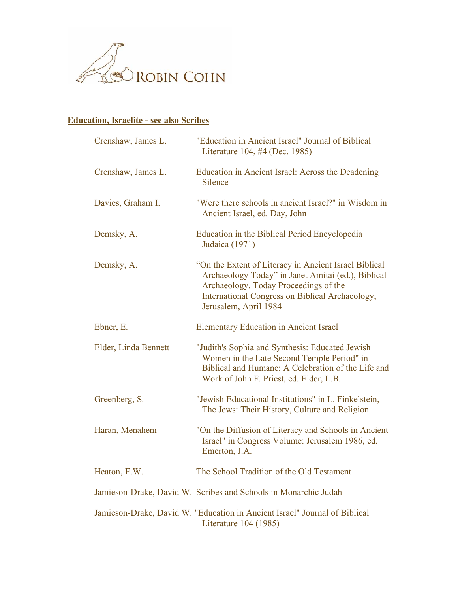

## **Education, Israelite - see also Scribes**

| Crenshaw, James L.   | "Education in Ancient Israel" Journal of Biblical<br>Literature 104, #4 (Dec. 1985)                                                                                                                                               |
|----------------------|-----------------------------------------------------------------------------------------------------------------------------------------------------------------------------------------------------------------------------------|
| Crenshaw, James L.   | Education in Ancient Israel: Across the Deadening<br>Silence                                                                                                                                                                      |
| Davies, Graham I.    | "Were there schools in ancient Israel?" in Wisdom in<br>Ancient Israel, ed. Day, John                                                                                                                                             |
| Demsky, A.           | Education in the Biblical Period Encyclopedia<br>Judaica (1971)                                                                                                                                                                   |
| Demsky, A.           | "On the Extent of Literacy in Ancient Israel Biblical"<br>Archaeology Today" in Janet Amitai (ed.), Biblical<br>Archaeology. Today Proceedings of the<br>International Congress on Biblical Archaeology,<br>Jerusalem, April 1984 |
| Ebner, E.            | <b>Elementary Education in Ancient Israel</b>                                                                                                                                                                                     |
| Elder, Linda Bennett | "Judith's Sophia and Synthesis: Educated Jewish<br>Women in the Late Second Temple Period" in<br>Biblical and Humane: A Celebration of the Life and<br>Work of John F. Priest, ed. Elder, L.B.                                    |
| Greenberg, S.        | "Jewish Educational Institutions" in L. Finkelstein,<br>The Jews: Their History, Culture and Religion                                                                                                                             |
| Haran, Menahem       | "On the Diffusion of Literacy and Schools in Ancient<br>Israel" in Congress Volume: Jerusalem 1986, ed.<br>Emerton, J.A.                                                                                                          |
| Heaton, E.W.         | The School Tradition of the Old Testament                                                                                                                                                                                         |
|                      | Jamieson-Drake, David W. Scribes and Schools in Monarchic Judah                                                                                                                                                                   |
|                      | Jamieson-Drake, David W. "Education in Ancient Israel" Journal of Biblical<br>Literature 104 (1985)                                                                                                                               |